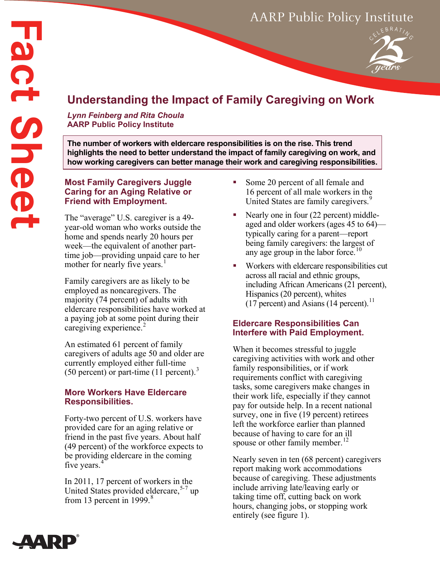

# **Understanding the Impact of Family Caregiving on Work**

*Lynn Feinberg and Rita Choula* **AARP Public Policy Institute**

**The number of workers with eldercare responsibilities is on the rise. This trend highlights the need to better understand the impact of family caregiving on work, and how working caregivers can better manage their work and caregiving responsibilities.**

# **Most Family Caregivers Juggle Caring for an Aging Relative or Friend with Employment.**

The "average" U.S. caregiver is a 49 year-old woman who works outside the home and spends nearly 20 hours per week—the equivalent of another parttime job—providing unpaid care to her mother for nearly five years.<sup>[1](#page-3-0)</sup>

Family caregivers are as likely to be employed as noncaregivers. The majority (74 percent) of adults with eldercare responsibilities have worked at a paying job at some point during their caregiving experience. $2$ 

An estimated 61 percent of family caregivers of adults age 50 and older are currently employed either full-time (50 percent) or part-time (11 percent).[3](#page-3-2)

# **More Workers Have Eldercare Responsibilities.**

Forty-two percent of U.S. workers have provided care for an aging relative or friend in the past five years. About half (49 percent) of the workforce expects to be providing eldercare in the coming five years.<sup>[4](#page-3-3)</sup>

In 2011, 17 percent of workers in the United States provided eldercare,<sup>[5](#page-3-4)-[7](#page-3-5)</sup> up from 13 percent in 1999. $8$ 

- Some 20 percent of all female and 16 percent of all male workers in the United States are family caregivers.<sup>[9](#page-3-7)</sup>
- Nearly one in four (22 percent) middleaged and older workers (ages 45 to 64) typically caring for a parent—report being family caregivers: the largest of any age group in the labor force.<sup>1</sup>
- Workers with eldercare responsibilities cut across all racial and ethnic groups, including African Americans (21 percent), Hispanics (20 percent), whites  $(17$  percent) and Asians  $(14$  percent).<sup>[11](#page-3-9)</sup>

# **Eldercare Responsibilities Can Interfere with Paid Employment.**

When it becomes stressful to juggle caregiving activities with work and other family responsibilities, or if work requirements conflict with caregiving tasks, some caregivers make changes in their work life, especially if they cannot pay for outside help. In a recent national survey, one in five  $(19$  percent) retirees left the workforce earlier than planned because of having to care for an ill spouse or other family member.<sup>[12](#page-3-10)</sup>

Nearly seven in ten (68 percent) caregivers report making work accommodations because of caregiving. These adjustments include arriving late/leaving early or taking time off, cutting back on work hours, changing jobs, or stopping work entirely (see figure 1).

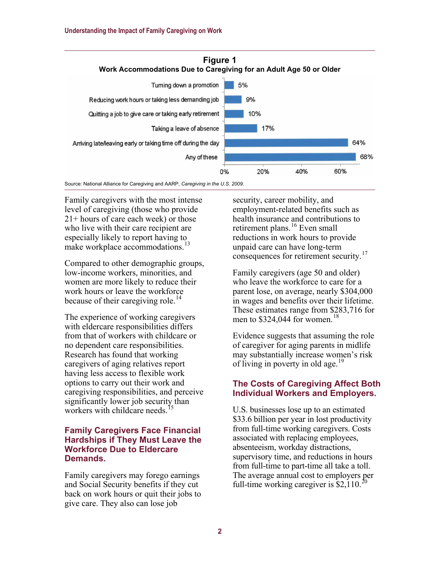

Source: National Alliance for Caregiving and AARP, *Caregiving in the U.S. 2009*.

Family caregivers with the most intense level of caregiving (those who provide 21+ hours of care each week) or those who live with their care recipient are especially likely to report having to make workplace accommodations.<sup>[13](#page-3-11)</sup>

Compared to other demographic groups, low-income workers, minorities, and women are more likely to reduce their work hours or leave the workforce because of their caregiving role.<sup>[14](#page-3-12)</sup>

The experience of working caregivers with eldercare responsibilities differs from that of workers with childcare or no dependent care responsibilities. Research has found that working caregivers of aging relatives report having less access to flexible work options to carry out their work and caregiving responsibilities, and perceive significantly lower job security than workers with childcare needs.<sup>1</sup>

#### **Family Caregivers Face Financial Hardships if They Must Leave the Workforce Due to Eldercare Demands.**

Family caregivers may forego earnings and Social Security benefits if they cut back on work hours or quit their jobs to give care. They also can lose job

security, career mobility, and employment-related benefits such as health insurance and contributions to retirement plans.<sup>[16](#page-3-14)</sup> Even small reductions in work hours to provide unpaid care can have long-term consequences for retirement security.<sup>[17](#page-3-15)</sup>

Family caregivers (age 50 and older) who leave the workforce to care for a parent lose, on average, nearly \$304,000 in wages and benefits over their lifetime. These estimates range from \$283,716 for men to  $$324,044$  for women.<sup>[18](#page-3-16)</sup>

Evidence suggests that assuming the role of caregiver for aging parents in midlife may substantially increase women's risk of living in poverty in old age.<sup>[19](#page-3-17)</sup>

#### **The Costs of Caregiving Affect Both Individual Workers and Employers.**

U.S. businesses lose up to an estimated \$33.6 billion per year in lost productivity from full-time working caregivers. Costs associated with replacing employees, absenteeism, workday distractions, supervisory time, and reductions in hours from full-time to part-time all take a toll. The average annual cost to employers per full-time working caregiver is  $$2,110.<sup>2</sup>$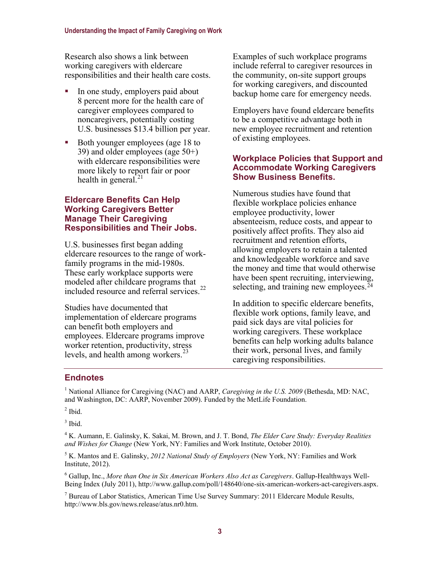Research also shows a link between working caregivers with eldercare responsibilities and their health care costs.

- In one study, employers paid about 8 percent more for the health care of caregiver employees compared to noncaregivers, potentially costing U.S. businesses \$13.4 billion per year.
- Both younger employees (age 18 to 39) and older employees (age 50+) with eldercare responsibilities were more likely to report fair or poor health in general. $^{21}$  $^{21}$  $^{21}$

#### **Eldercare Benefits Can Help Working Caregivers Better Manage Their Caregiving Responsibilities and Their Jobs.**

U.S. businesses first began adding eldercare resources to the range of workfamily programs in the mid-1980s. These early workplace supports were modeled after childcare programs that included resource and referral services.<sup>[22](#page-3-20)</sup>

Studies have documented that implementation of eldercare programs can benefit both employers and employees. Eldercare programs improve worker retention, productivity, stress levels, and health among workers.<sup>[23](#page-3-21)</sup>

Examples of such workplace programs include referral to caregiver resources in the community, on-site support groups for working caregivers, and discounted backup home care for emergency needs.

Employers have found eldercare benefits to be a competitive advantage both in new employee recruitment and retention of existing employees.

#### **Workplace Policies that Support and Accommodate Working Caregivers Show Business Benefits.**

Numerous studies have found that flexible workplace policies enhance employee productivity, lower absenteeism, reduce costs, and appear to positively affect profits. They also aid recruitment and retention efforts, allowing employers to retain a talented and knowledgeable workforce and save the money and time that would otherwise have been spent recruiting, interviewing, selecting, and training new employees.<sup>[24](#page-3-22)</sup>

In addition to specific eldercare benefits, flexible work options, family leave, and paid sick days are vital policies for working caregivers. These workplace benefits can help working adults balance their work, personal lives, and family caregiving responsibilities.

### **Endnotes**

<sup>1</sup> National Alliance for Caregiving (NAC) and AARP, *Caregiving in the U.S. 2009* (Bethesda, MD: NAC, and Washington, DC: AARP, November 2009). Funded by the MetLife Foundation.

 $<sup>2</sup>$  Ibid.</sup>

 $3$  Ibid.

<sup>4</sup> K. Aumann, E. Galinsky, K. Sakai, M. Brown, and J. T. Bond, *The Elder Care Study: Everyday Realities and Wishes for Change* (New York, NY: Families and Work Institute, October 2010).

<sup>5</sup> K. Mantos and E. Galinsky, *2012 National Study of Employers* (New York, NY: Families and Work Institute, 2012).

<sup>6</sup> Gallup, Inc., *More than One in Six American Workers Also Act as Caregivers*. Gallup-Healthways Well-Being Index (July 2011), [http://www.gallup.com/poll/148640/one-six-american-workers-act-caregivers.aspx.](http://www.gallup.com/poll/148640/one-six-american-workers-act-caregivers.aspx) 

<sup>7</sup> Bureau of Labor Statistics, American Time Use Survey Summary: 2011 Eldercare Module Results, [http://www.bls.gov/news.release/atus.nr0.htm.](http://www.bls.gov/news.release/atus.nr0.htm)